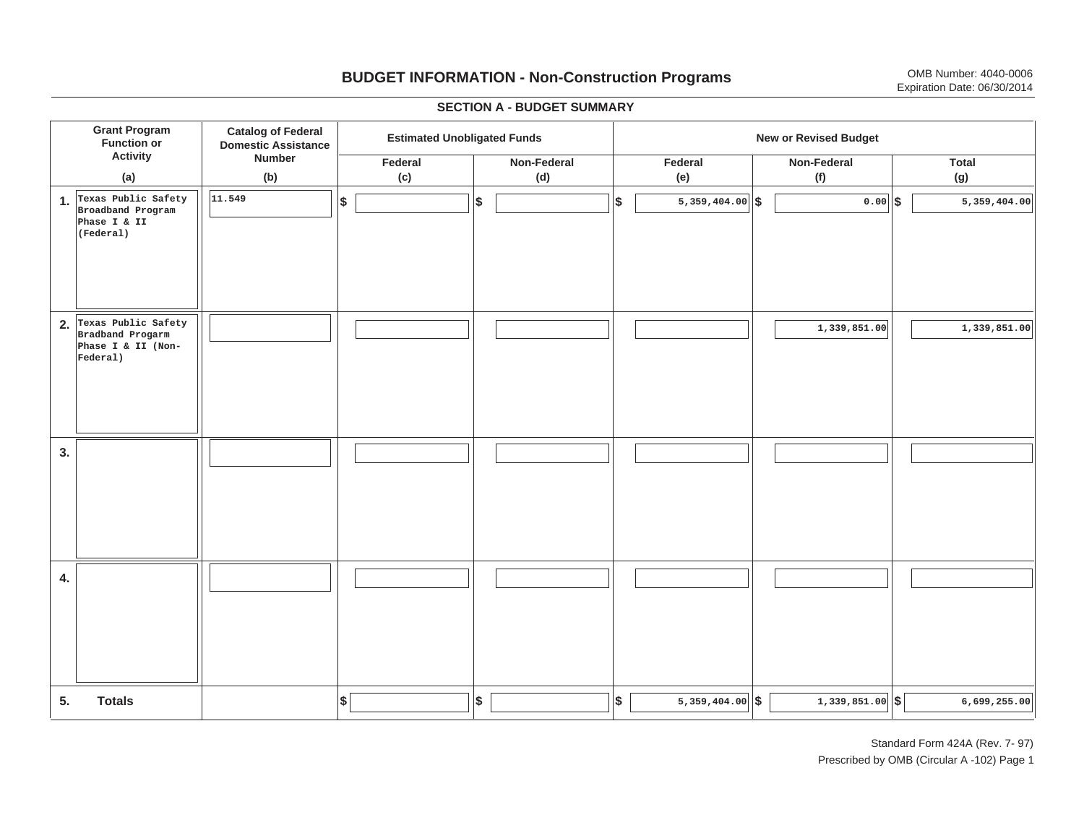# **BUDGET INFORMATION - Non-Construction Programs** OMB Number: 4040-0006 Expiration Date: 06/30/2014

**\$ Grant Program Function or Activity (a) Catalog of Federal Domestic Assistance Number (b) Estimated Unobligated Funds New or Revised Budget Federal(c) Non-Federal(d) Federal(e) Non-Federal(f) Total(g) 5. Totals4. 3. 2. Texas Public Safety 1. \$\$\$\$ Texas Public Safety \$**  $|\$$  6,699,255.00 **Broadband Program Phase I & II (Federal) 11.549 5,359,404.00 0.00 5,359,404.00 Bradband Progarm Phase I & II (Non-Federal) 1,339,851.00 1,339,851.00** I I I I I I I I I I I I I I I I I I I I I I I I I I I I I I I I I I I I I I I I I I I I

#### **SECTION A - BUDGET SUMMARY**

Standard Form 424A (Rev. 7- 97) Prescribed by OMB (Circular A -102) Page 1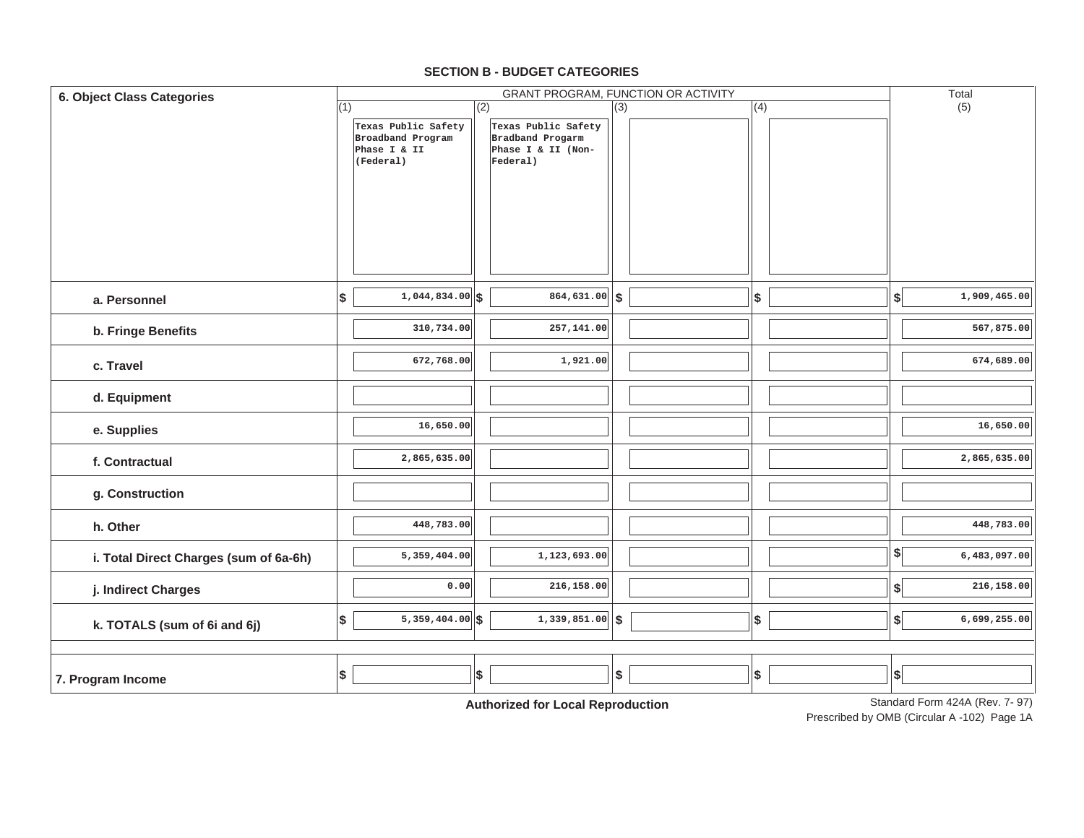## **SECTION B - BUDGET CATEGORIES**

| <b>6. Object Class Categories</b>      |     |                                          |     |                                         |     | GRANT PROGRAM, FUNCTION OR ACTIVITY |     |                           | Total                          |
|----------------------------------------|-----|------------------------------------------|-----|-----------------------------------------|-----|-------------------------------------|-----|---------------------------|--------------------------------|
|                                        | (1) |                                          | (2) |                                         | (3) |                                     | (4) |                           | (5)                            |
|                                        |     | Texas Public Safety<br>Broadband Program |     | Texas Public Safety<br>Bradband Progarm |     |                                     |     |                           |                                |
|                                        |     | Phase I & II                             |     | Phase I & II (Non-                      |     |                                     |     |                           |                                |
|                                        |     | (Federal)                                |     | Federal)                                |     |                                     |     |                           |                                |
|                                        |     |                                          |     |                                         |     |                                     |     |                           |                                |
|                                        |     |                                          |     |                                         |     |                                     |     |                           |                                |
|                                        |     |                                          |     |                                         |     |                                     |     |                           |                                |
|                                        |     |                                          |     |                                         |     |                                     |     |                           |                                |
|                                        |     |                                          |     |                                         |     |                                     |     |                           |                                |
|                                        |     |                                          |     |                                         |     |                                     |     |                           |                                |
|                                        |     |                                          |     |                                         |     |                                     |     |                           |                                |
| a. Personnel                           | \$  | $1,044,834.00$ \$                        |     | $\overline{864,631.00}$ \$              |     |                                     | \$  | $\boldsymbol{\mathsf{s}}$ | 1,909,465.00                   |
|                                        |     |                                          |     |                                         |     |                                     |     |                           |                                |
| b. Fringe Benefits                     |     | 310,734.00                               |     | 257,141.00                              |     |                                     |     |                           | 567,875.00                     |
|                                        |     | 672,768.00                               |     | 1,921.00                                |     |                                     |     |                           | 674,689.00                     |
| c. Travel                              |     |                                          |     |                                         |     |                                     |     |                           |                                |
|                                        |     |                                          |     |                                         |     |                                     |     |                           |                                |
| d. Equipment                           |     |                                          |     |                                         |     |                                     |     |                           |                                |
| e. Supplies                            |     | 16,650.00                                |     |                                         |     |                                     |     |                           | 16,650.00                      |
|                                        |     |                                          |     |                                         |     |                                     |     |                           |                                |
| f. Contractual                         |     | 2,865,635.00                             |     |                                         |     |                                     |     |                           | 2,865,635.00                   |
|                                        |     |                                          |     |                                         |     |                                     |     |                           |                                |
| g. Construction                        |     |                                          |     |                                         |     |                                     |     |                           |                                |
|                                        |     |                                          |     |                                         |     |                                     |     |                           |                                |
| h. Other                               |     | 448,783.00                               |     |                                         |     |                                     |     |                           | 448,783.00                     |
|                                        |     | 5,359,404.00                             |     | 1,123,693.00                            |     |                                     |     | \$                        | 6,483,097.00                   |
| i. Total Direct Charges (sum of 6a-6h) |     |                                          |     |                                         |     |                                     |     |                           |                                |
| j. Indirect Charges                    |     | 0.00                                     |     | 216,158.00                              |     |                                     |     | $\boldsymbol{\$}$         | 216,158.00                     |
|                                        |     |                                          |     |                                         |     |                                     |     |                           |                                |
| k. TOTALS (sum of 6i and 6j)           | \$  | $5,359,404.00$ \\$                       |     | $1,339,851.00$ \$                       |     |                                     | \$  | $\left  \right $          | 6,699,255.00                   |
|                                        |     |                                          |     |                                         |     |                                     |     |                           |                                |
|                                        |     |                                          |     |                                         |     |                                     |     |                           |                                |
| 7. Program Income                      | \$  |                                          | \$  |                                         | \$  |                                     | \$  | S                         |                                |
|                                        |     |                                          |     |                                         |     |                                     |     |                           |                                |
|                                        |     |                                          |     | Authorization Lead Dependington         |     |                                     |     |                           | Standard Form 424A (Rev. 7-97) |

**Authorized for Local Reproduction**

Standard Form 424A (Rev. 7- 97)

Prescribed by OMB (Circular A -102) Page 1A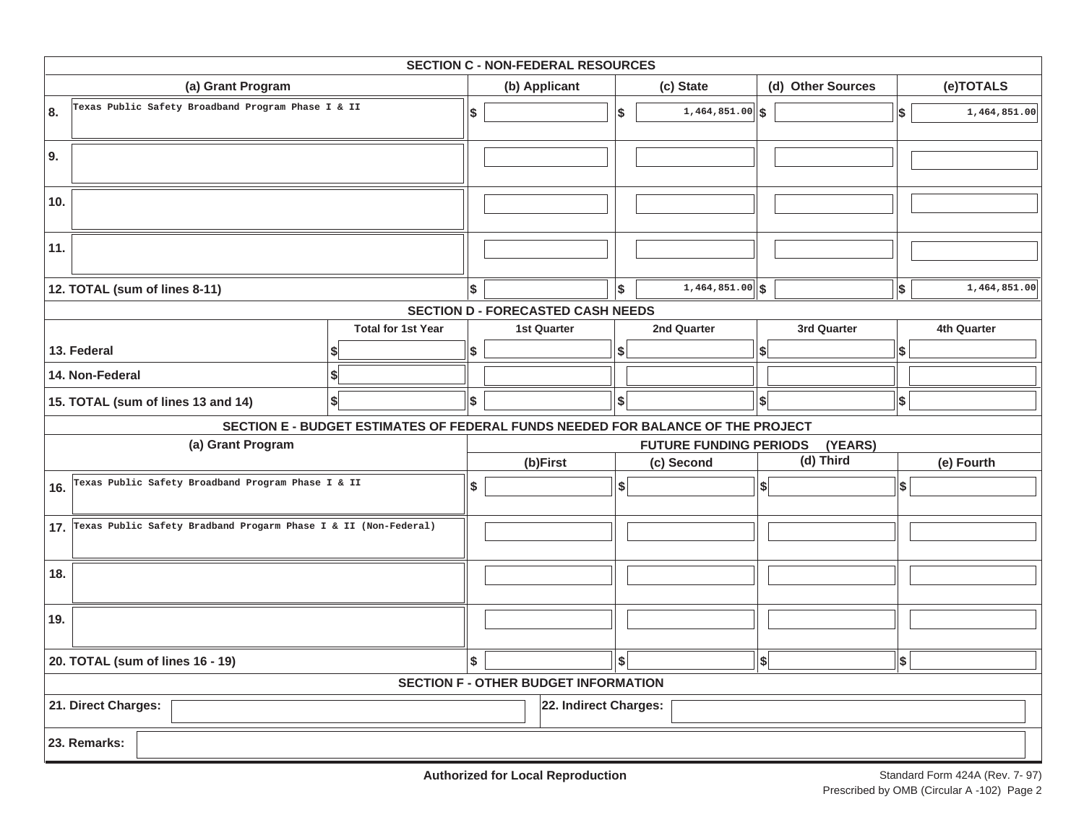|                                                                     |                                                                                 |    | <b>SECTION C - NON-FEDERAL RESOURCES</b>    |     |                               |                   |            |              |
|---------------------------------------------------------------------|---------------------------------------------------------------------------------|----|---------------------------------------------|-----|-------------------------------|-------------------|------------|--------------|
| (a) Grant Program                                                   |                                                                                 |    | (b) Applicant                               |     | (c) State                     | (d) Other Sources |            | (e)TOTALS    |
| Texas Public Safety Broadband Program Phase I & II<br>8.            |                                                                                 | \$ |                                             | Ι\$ | $1,464,851.00$ \$             |                   | \$         | 1,464,851.00 |
| 9.                                                                  |                                                                                 |    |                                             |     |                               |                   |            |              |
| 10.                                                                 |                                                                                 |    |                                             |     |                               |                   |            |              |
| 11.                                                                 |                                                                                 |    |                                             |     |                               |                   |            |              |
| 12. TOTAL (sum of lines 8-11)                                       |                                                                                 | \$ |                                             | Ι\$ | $1,464,851.00$ \$             |                   | $\vert$ \$ | 1,464,851.00 |
|                                                                     |                                                                                 |    | <b>SECTION D - FORECASTED CASH NEEDS</b>    |     |                               |                   |            |              |
|                                                                     | <b>Total for 1st Year</b>                                                       |    | <b>1st Quarter</b>                          |     | 2nd Quarter                   | 3rd Quarter       |            | 4th Quarter  |
| 13. Federal                                                         |                                                                                 | \$ |                                             | \$  |                               | \$                | \$         |              |
| 14. Non-Federal                                                     |                                                                                 |    |                                             |     |                               |                   |            |              |
| 15. TOTAL (sum of lines 13 and 14)                                  | \$                                                                              | \$ |                                             | \$  |                               | \$                | \$         |              |
|                                                                     | SECTION E - BUDGET ESTIMATES OF FEDERAL FUNDS NEEDED FOR BALANCE OF THE PROJECT |    |                                             |     |                               |                   |            |              |
| (a) Grant Program                                                   |                                                                                 |    |                                             |     | <b>FUTURE FUNDING PERIODS</b> | (YEARS)           |            |              |
|                                                                     |                                                                                 |    | (b)First                                    |     | (c) Second                    | (d) Third         |            | (e) Fourth   |
| Texas Public Safety Broadband Program Phase I & II<br>16.           |                                                                                 | \$ |                                             | \$  |                               | $\frac{1}{2}$     | \$         |              |
| 17. Texas Public Safety Bradband Progarm Phase I & II (Non-Federal) |                                                                                 |    |                                             |     |                               |                   |            |              |
| 18.                                                                 |                                                                                 |    |                                             |     |                               |                   |            |              |
| 19.                                                                 |                                                                                 |    |                                             |     |                               |                   |            |              |
| 20. TOTAL (sum of lines 16 - 19)                                    |                                                                                 | \$ |                                             | \$  |                               | $\left  \right $  | \$         |              |
|                                                                     |                                                                                 |    | <b>SECTION F - OTHER BUDGET INFORMATION</b> |     |                               |                   |            |              |
| 21. Direct Charges:<br>22. Indirect Charges:                        |                                                                                 |    |                                             |     |                               |                   |            |              |
| 23. Remarks:                                                        |                                                                                 |    |                                             |     |                               |                   |            |              |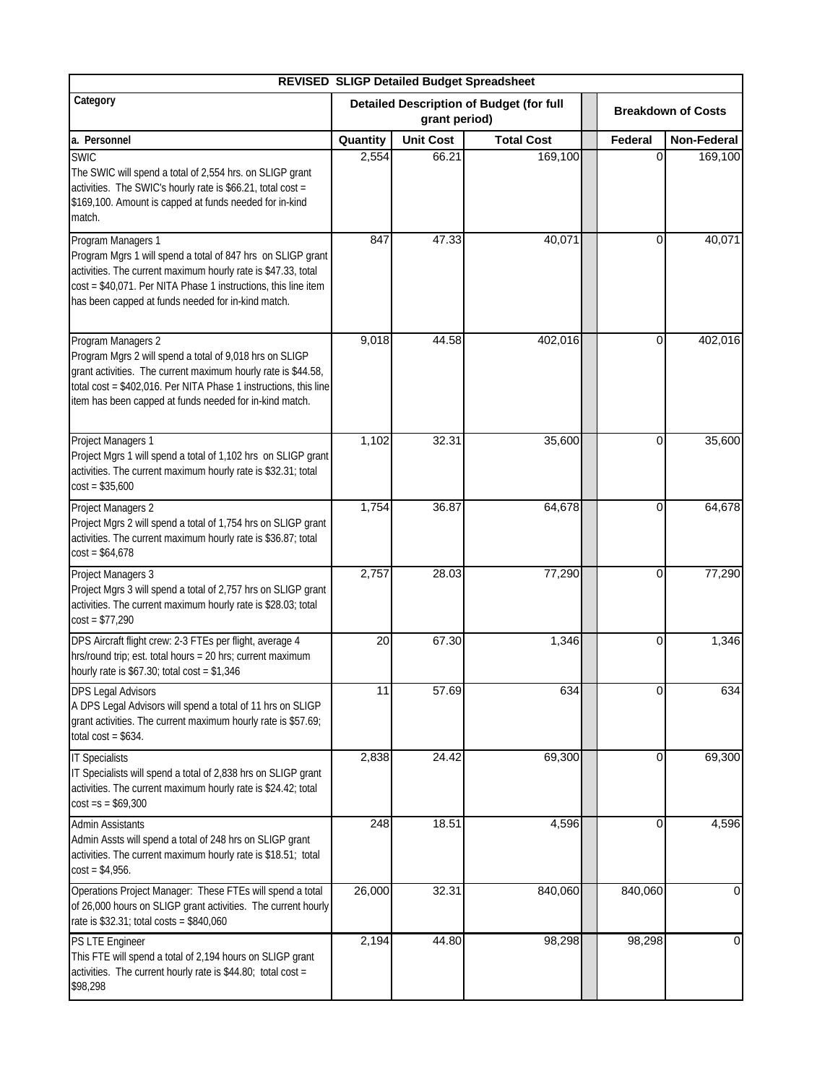| <b>REVISED SLIGP Detailed Budget Spreadsheet</b>                                                                                                                                                                                                                              |                                                                  |                  |                   |  |          |                           |  |  |
|-------------------------------------------------------------------------------------------------------------------------------------------------------------------------------------------------------------------------------------------------------------------------------|------------------------------------------------------------------|------------------|-------------------|--|----------|---------------------------|--|--|
| Category                                                                                                                                                                                                                                                                      | <b>Detailed Description of Budget (for full</b><br>grant period) |                  |                   |  |          | <b>Breakdown of Costs</b> |  |  |
| a. Personnel                                                                                                                                                                                                                                                                  | Quantity                                                         | <b>Unit Cost</b> | <b>Total Cost</b> |  | Federal  | <b>Non-Federal</b>        |  |  |
| <b>SWIC</b><br>The SWIC will spend a total of 2,554 hrs. on SLIGP grant<br>activities. The SWIC's hourly rate is \$66.21, total cost =<br>\$169,100. Amount is capped at funds needed for in-kind<br>match.                                                                   | 2,554                                                            | 66.21            | 169,100           |  | 0        | 169,100                   |  |  |
| Program Managers 1<br>Program Mgrs 1 will spend a total of 847 hrs on SLIGP grant<br>activities. The current maximum hourly rate is \$47.33, total<br>cost = \$40,071. Per NITA Phase 1 instructions, this line item<br>has been capped at funds needed for in-kind match.    | 847                                                              | 47.33            | 40,071            |  | 0        | 40,071                    |  |  |
| Program Managers 2<br>Program Mgrs 2 will spend a total of 9,018 hrs on SLIGP<br>grant activities. The current maximum hourly rate is \$44.58,<br>total cost = \$402,016. Per NITA Phase 1 instructions, this line<br>item has been capped at funds needed for in-kind match. | 9,018                                                            | 44.58            | 402,016           |  | 0        | 402,016                   |  |  |
| Project Managers 1<br>Project Mgrs 1 will spend a total of 1,102 hrs on SLIGP grant<br>activities. The current maximum hourly rate is \$32.31; total<br>$cost = $35,600$                                                                                                      | 1,102                                                            | 32.31            | 35,600            |  | 0        | 35,600                    |  |  |
| Project Managers 2<br>Project Mgrs 2 will spend a total of 1,754 hrs on SLIGP grant<br>activities. The current maximum hourly rate is \$36.87; total<br>$cost = $64,678$                                                                                                      | 1,754                                                            | 36.87            | 64,678            |  | 0        | 64,678                    |  |  |
| Project Managers 3<br>Project Mgrs 3 will spend a total of 2,757 hrs on SLIGP grant<br>activities. The current maximum hourly rate is \$28.03; total<br>$cost = $77,290$                                                                                                      | 2,757                                                            | 28.03            | 77,290            |  | 0        | 77,290                    |  |  |
| DPS Aircraft flight crew: 2-3 FTEs per flight, average 4<br>hrs/round trip; est. total hours = 20 hrs; current maximum<br>hourly rate is $$67.30$ ; total cost = $$1,346$                                                                                                     | 20                                                               | 67.30            | 1,346             |  | 0        | 1,346                     |  |  |
| <b>DPS Legal Advisors</b><br>A DPS Legal Advisors will spend a total of 11 hrs on SLIGP<br>grant activities. The current maximum hourly rate is \$57.69;<br>total $cost = $634$ .                                                                                             | 11                                                               | 57.69            | 634               |  | 0        | 634                       |  |  |
| <b>IT Specialists</b><br>IT Specialists will spend a total of 2,838 hrs on SLIGP grant<br>activities. The current maximum hourly rate is \$24.42; total<br>$cost = s = $69,300$                                                                                               | 2,838                                                            | 24.42            | 69,300            |  | $\Omega$ | 69,300                    |  |  |
| <b>Admin Assistants</b><br>Admin Assts will spend a total of 248 hrs on SLIGP grant<br>activities. The current maximum hourly rate is \$18.51; total<br>$cost = $4,956.$                                                                                                      | 248                                                              | 18.51            | 4,596             |  | 0        | 4,596                     |  |  |
| Operations Project Manager: These FTEs will spend a total<br>of 26,000 hours on SLIGP grant activities. The current hourly<br>rate is \$32.31; total costs = \$840,060                                                                                                        | 26,000                                                           | 32.31            | 840,060           |  | 840,060  | 01                        |  |  |
| PS LTE Engineer<br>This FTE will spend a total of 2,194 hours on SLIGP grant<br>activities. The current hourly rate is \$44.80; total cost =<br>\$98,298                                                                                                                      | 2,194                                                            | 44.80            | 98,298            |  | 98,298   | $\overline{0}$            |  |  |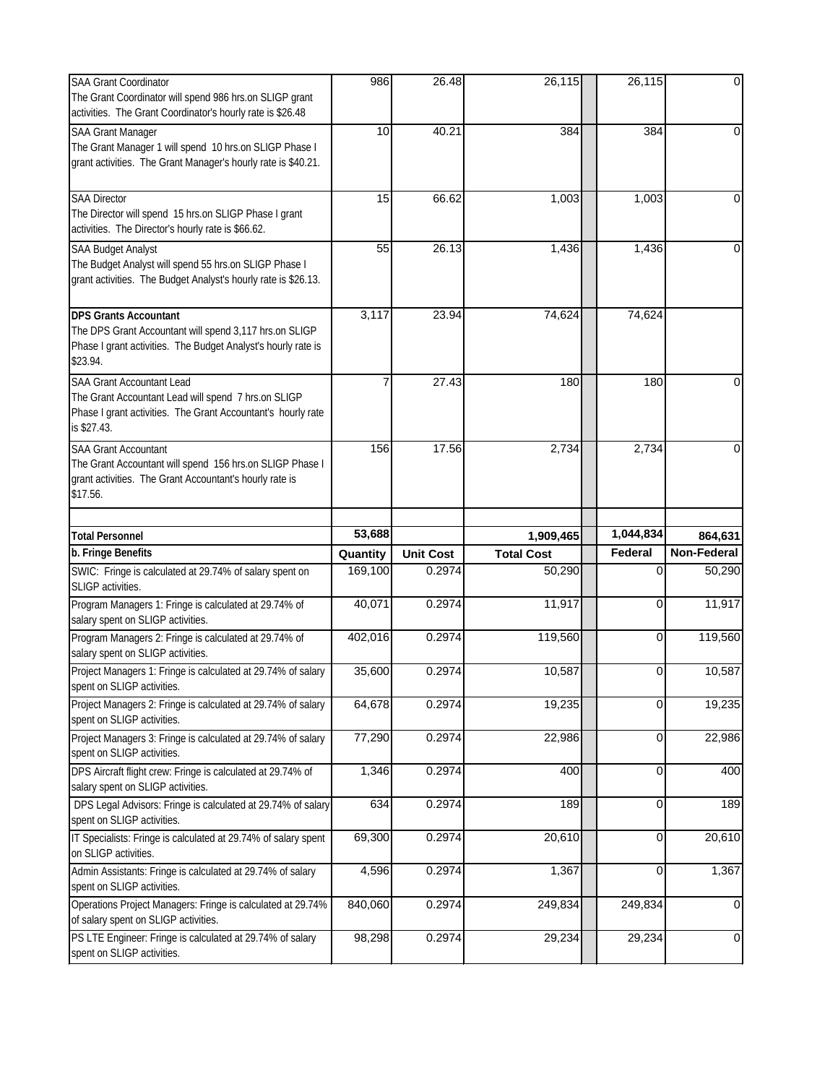| <b>SAA Grant Coordinator</b><br>The Grant Coordinator will spend 986 hrs.on SLIGP grant<br>activities. The Grant Coordinator's hourly rate is \$26.48                  | 986                 | 26.48            | 26,115                         | 26,115               | $\overline{0}$                    |
|------------------------------------------------------------------------------------------------------------------------------------------------------------------------|---------------------|------------------|--------------------------------|----------------------|-----------------------------------|
| <b>SAA Grant Manager</b><br>The Grant Manager 1 will spend 10 hrs.on SLIGP Phase I<br>grant activities. The Grant Manager's hourly rate is \$40.21.                    | 10                  | 40.21            | 384                            | 384                  | $\Omega$                          |
| <b>SAA Director</b><br>The Director will spend 15 hrs.on SLIGP Phase I grant<br>activities. The Director's hourly rate is \$66.62.                                     | 15                  | 66.62            | 1,003                          | 1,003                | $\Omega$                          |
| <b>SAA Budget Analyst</b><br>The Budget Analyst will spend 55 hrs.on SLIGP Phase I<br>grant activities. The Budget Analyst's hourly rate is \$26.13.                   | 55                  | 26.13            | 1,436                          | 1,436                | $\Omega$                          |
| <b>DPS Grants Accountant</b><br>The DPS Grant Accountant will spend 3,117 hrs.on SLIGP<br>Phase I grant activities. The Budget Analyst's hourly rate is<br>\$23.94.    | 3,117               | 23.94            | 74,624                         | 74,624               |                                   |
| <b>SAA Grant Accountant Lead</b><br>The Grant Accountant Lead will spend 7 hrs.on SLIGP<br>Phase I grant activities. The Grant Accountant's hourly rate<br>is \$27.43. | 7                   | 27.43            | 180                            | 180                  | $\Omega$                          |
| <b>SAA Grant Accountant</b><br>The Grant Accountant will spend 156 hrs.on SLIGP Phase I<br>grant activities. The Grant Accountant's hourly rate is<br>\$17.56.         | 156                 | 17.56            | 2,734                          | 2,734                | 0                                 |
|                                                                                                                                                                        |                     |                  |                                |                      |                                   |
|                                                                                                                                                                        |                     |                  |                                |                      |                                   |
| <b>Total Personnel</b><br>b. Fringe Benefits                                                                                                                           | 53,688              | <b>Unit Cost</b> | 1,909,465<br><b>Total Cost</b> | 1,044,834<br>Federal | 864,631<br>Non-Federal            |
| SWIC: Fringe is calculated at 29.74% of salary spent on<br>SLIGP activities.                                                                                           | Quantity<br>169,100 | 0.2974           | 50,290                         | 0                    | 50,290                            |
| Program Managers 1: Fringe is calculated at 29.74% of<br>salary spent on SLIGP activities.                                                                             | 40,071              | 0.2974           | 11,917                         | 0                    | 11,917                            |
| Program Managers 2: Fringe is calculated at 29.74% of<br>salary spent on SLIGP activities.                                                                             | 402,016             | 0.2974           | 119,560                        | 0                    | 119,560                           |
| Project Managers 1: Fringe is calculated at 29.74% of salary<br>spent on SLIGP activities.                                                                             | 35,600              | 0.2974           | 10,587                         | 0                    | 10,587                            |
| Project Managers 2: Fringe is calculated at 29.74% of salary<br>spent on SLIGP activities.                                                                             | 64,678              | 0.2974           | 19,235                         | 0                    | 19,235                            |
| Project Managers 3: Fringe is calculated at 29.74% of salary<br>spent on SLIGP activities.                                                                             | 77,290              | 0.2974           | 22,986                         | 0                    | 22,986                            |
| DPS Aircraft flight crew: Fringe is calculated at 29.74% of<br>salary spent on SLIGP activities.                                                                       | 1,346               | 0.2974           | 400                            | $\Omega$             | 400                               |
| DPS Legal Advisors: Fringe is calculated at 29.74% of salary<br>spent on SLIGP activities.                                                                             | 634                 | 0.2974           | 189                            | 0                    | 189                               |
| IT Specialists: Fringe is calculated at 29.74% of salary spent<br>on SLIGP activities.                                                                                 | 69,300              | 0.2974           | 20,610                         | $\overline{0}$       |                                   |
| Admin Assistants: Fringe is calculated at 29.74% of salary<br>spent on SLIGP activities.                                                                               | 4,596               | 0.2974           | 1,367                          | 0                    |                                   |
| Operations Project Managers: Fringe is calculated at 29.74%<br>of salary spent on SLIGP activities.<br>PS LTE Engineer: Fringe is calculated at 29.74% of salary       | 840,060<br>98,298   | 0.2974<br>0.2974 | 249,834<br>29,234              | 249,834<br>29,234    | 20,610<br>1,367<br>$\overline{0}$ |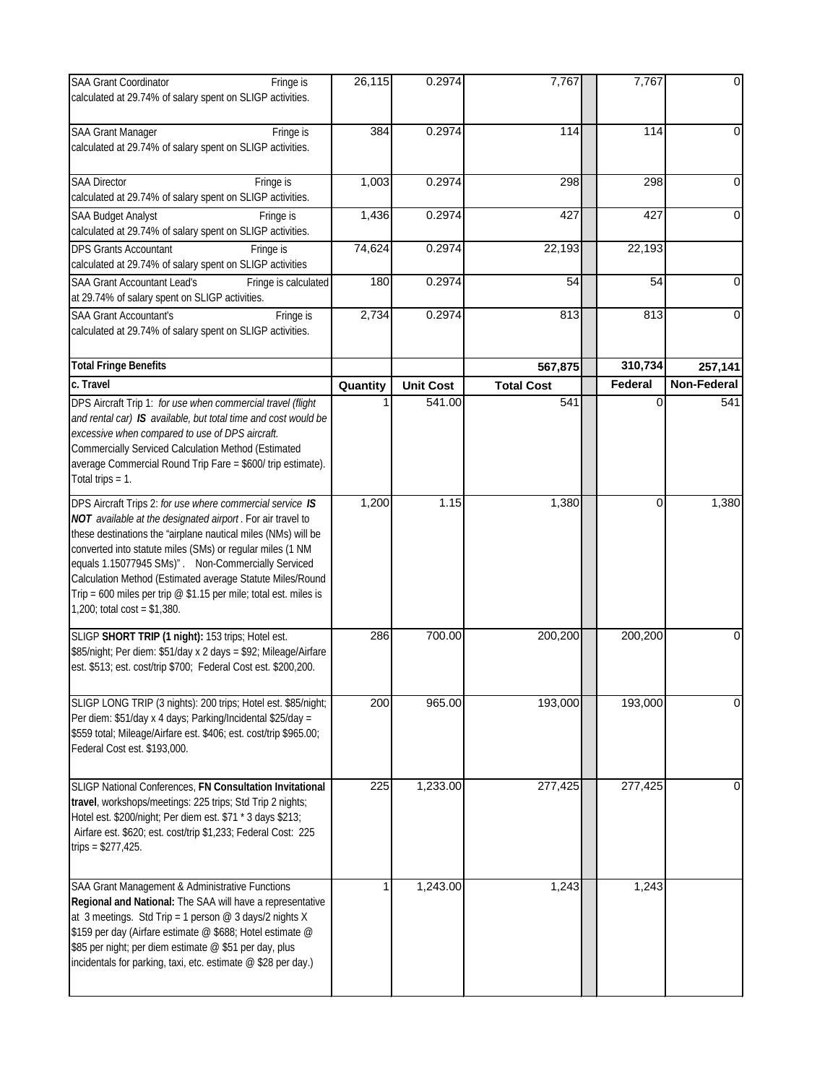| <b>SAA Grant Coordinator</b><br>Fringe is<br>calculated at 29.74% of salary spent on SLIGP activities.                                                                                                                                                                                                                                                                                                                                                                                  | 26,115   | 0.2974           | 7,767             | 7,767    | $\overline{0}$     |
|-----------------------------------------------------------------------------------------------------------------------------------------------------------------------------------------------------------------------------------------------------------------------------------------------------------------------------------------------------------------------------------------------------------------------------------------------------------------------------------------|----------|------------------|-------------------|----------|--------------------|
| <b>SAA Grant Manager</b><br>Fringe is<br>calculated at 29.74% of salary spent on SLIGP activities.                                                                                                                                                                                                                                                                                                                                                                                      | 384      | 0.2974           | 114               | 114      | $\Omega$           |
| <b>SAA Director</b><br>Fringe is<br>calculated at 29.74% of salary spent on SLIGP activities.                                                                                                                                                                                                                                                                                                                                                                                           | 1,003    | 0.2974           | 298               | 298      | 0                  |
| <b>SAA Budget Analyst</b><br>Fringe is<br>calculated at 29.74% of salary spent on SLIGP activities.                                                                                                                                                                                                                                                                                                                                                                                     | 1,436    | 0.2974           | 427               | 427      | $\Omega$           |
| <b>DPS Grants Accountant</b><br>Fringe is<br>calculated at 29.74% of salary spent on SLIGP activities                                                                                                                                                                                                                                                                                                                                                                                   | 74,624   | 0.2974           | 22,193            | 22,193   |                    |
| <b>SAA Grant Accountant Lead's</b><br>Fringe is calculated<br>at 29.74% of salary spent on SLIGP activities.                                                                                                                                                                                                                                                                                                                                                                            | 180      | 0.2974           | 54                | 54       | $\Omega$           |
| <b>SAA Grant Accountant's</b><br>Fringe is<br>calculated at 29.74% of salary spent on SLIGP activities.                                                                                                                                                                                                                                                                                                                                                                                 | 2,734    | 0.2974           | 813               | 813      | $\overline{0}$     |
| <b>Total Fringe Benefits</b>                                                                                                                                                                                                                                                                                                                                                                                                                                                            |          |                  | 567,875           | 310,734  | 257,141            |
| c. Travel                                                                                                                                                                                                                                                                                                                                                                                                                                                                               | Quantity | <b>Unit Cost</b> | <b>Total Cost</b> | Federal  | <b>Non-Federal</b> |
| DPS Aircraft Trip 1: for use when commercial travel (flight<br>and rental car) IS available, but total time and cost would be<br>excessive when compared to use of DPS aircraft.<br>Commercially Serviced Calculation Method (Estimated<br>average Commercial Round Trip Fare = \$600/ trip estimate).<br>Total trips $= 1$ .                                                                                                                                                           |          | 541.00           | 541               | $\Omega$ | 541                |
| DPS Aircraft Trips 2: for use where commercial service IS<br>NOT available at the designated airport. For air travel to<br>these destinations the "airplane nautical miles (NMs) will be<br>converted into statute miles (SMs) or regular miles (1 NM<br>equals 1.15077945 SMs)". Non-Commercially Serviced<br>Calculation Method (Estimated average Statute Miles/Round<br>Trip = 600 miles per trip $\oslash$ \$1.15 per mile; total est. miles is<br>$1,200$ ; total cost = \$1,380. | 1,200    | 1.15             | 1,380             | 0        | 1,380              |
| SLIGP SHORT TRIP (1 night): 153 trips; Hotel est.<br>\$85/night; Per diem: \$51/day x 2 days = \$92; Mileage/Airfare<br>est. \$513; est. cost/trip \$700; Federal Cost est. \$200,200.                                                                                                                                                                                                                                                                                                  | 286      | 700.00           | 200,200           | 200,200  | $\overline{0}$     |
| SLIGP LONG TRIP (3 nights): 200 trips; Hotel est. \$85/night;<br>Per diem: \$51/day x 4 days; Parking/Incidental \$25/day =<br>\$559 total; Mileage/Airfare est. \$406; est. cost/trip \$965.00;<br>Federal Cost est. \$193,000.                                                                                                                                                                                                                                                        | 200      | 965.00           | 193,000           | 193,000  | $\Omega$           |
| SLIGP National Conferences, FN Consultation Invitational<br>travel, workshops/meetings: 225 trips; Std Trip 2 nights;<br>Hotel est. \$200/night; Per diem est. \$71 * 3 days \$213;<br>Airfare est. \$620; est. cost/trip \$1,233; Federal Cost: 225<br>trips = $$277,425$ .                                                                                                                                                                                                            | 225      | 1,233.00         | 277,425           | 277,425  | 0                  |
| SAA Grant Management & Administrative Functions<br>Regional and National: The SAA will have a representative<br>at 3 meetings. Std Trip = 1 person $@$ 3 days/2 nights X<br>\$159 per day (Airfare estimate @ \$688; Hotel estimate @<br>\$85 per night; per diem estimate @ \$51 per day, plus<br>incidentals for parking, taxi, etc. estimate @ \$28 per day.)                                                                                                                        |          | 1,243.00         | 1,243             | 1,243    |                    |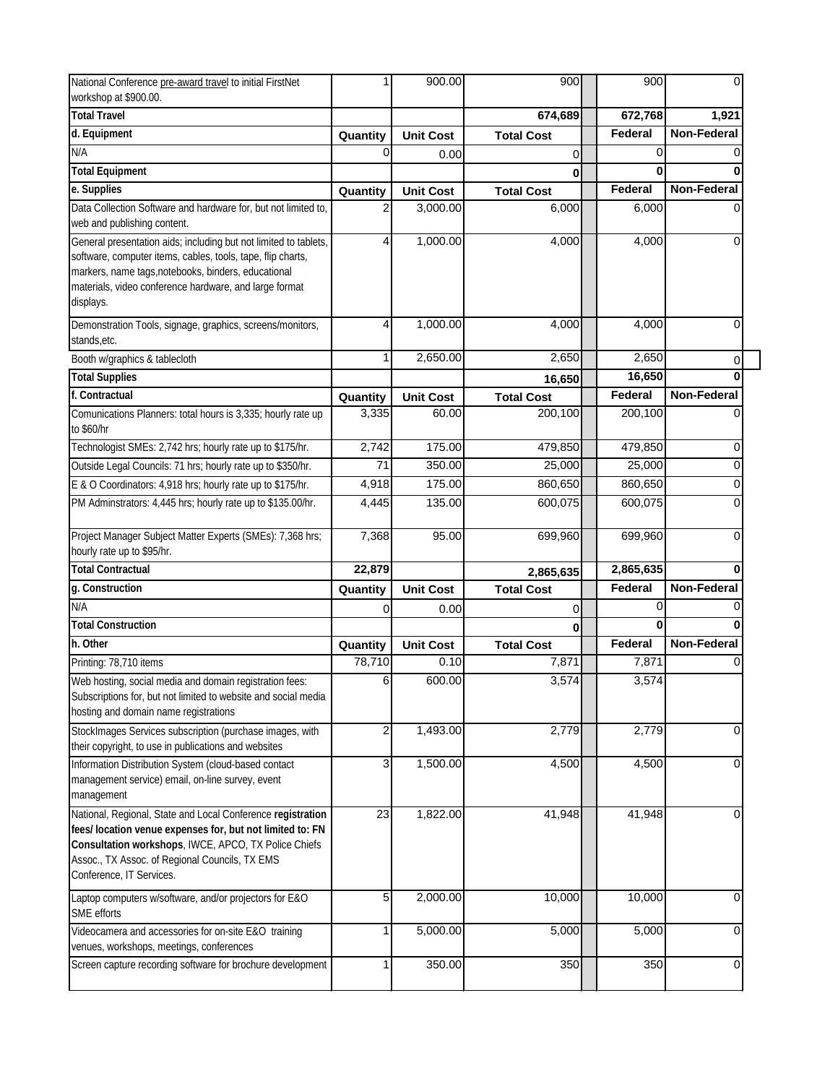| National Conference pre-award travel to initial FirstNet                                                                                                                                                                                                       | 1              | 900.00           | 900                | 900                | 0                  |
|----------------------------------------------------------------------------------------------------------------------------------------------------------------------------------------------------------------------------------------------------------------|----------------|------------------|--------------------|--------------------|--------------------|
| workshop at \$900.00.                                                                                                                                                                                                                                          |                |                  |                    |                    |                    |
| <b>Total Travel</b>                                                                                                                                                                                                                                            |                |                  | 674,689            | 672,768            | 1,921              |
| d. Equipment                                                                                                                                                                                                                                                   | Quantity       | <b>Unit Cost</b> | <b>Total Cost</b>  | Federal            | <b>Non-Federal</b> |
| N/A                                                                                                                                                                                                                                                            | 0              | 0.00             | 0                  | 0                  |                    |
| <b>Total Equipment</b>                                                                                                                                                                                                                                         |                |                  | 0                  | 0                  |                    |
| e. Supplies                                                                                                                                                                                                                                                    | Quantity       | <b>Unit Cost</b> | <b>Total Cost</b>  | Federal            | <b>Non-Federal</b> |
| Data Collection Software and hardware for, but not limited to,<br>web and publishing content.                                                                                                                                                                  | 2              | 3,000.00         | 6,000              | 6,000              |                    |
| General presentation aids; including but not limited to tablets,<br>software, computer items, cables, tools, tape, flip charts,<br>markers, name tags, notebooks, binders, educational<br>materials, video conference hardware, and large format<br>displays.  | $\overline{4}$ | 1,000.00         | 4,000              | 4,000              |                    |
| Demonstration Tools, signage, graphics, screens/monitors,<br>stands, etc.                                                                                                                                                                                      | $\overline{4}$ | 1,000.00         | 4,000              | 4,000              | 0                  |
| Booth w/graphics & tablecloth                                                                                                                                                                                                                                  | 1              | 2,650.00         | 2,650              | 2,650              | 0                  |
| <b>Total Supplies</b>                                                                                                                                                                                                                                          |                |                  | 16,650             | 16,650             | O                  |
| f. Contractual                                                                                                                                                                                                                                                 | Quantity       | <b>Unit Cost</b> | <b>Total Cost</b>  | Federal            | <b>Non-Federal</b> |
| Comunications Planners: total hours is 3,335; hourly rate up<br>to \$60/hr                                                                                                                                                                                     | 3,335          | 60.00            | 200,100            | 200,100            |                    |
| Technologist SMEs: 2,742 hrs; hourly rate up to \$175/hr.                                                                                                                                                                                                      | 2,742          | 175.00           | 479,850            | 479,850            |                    |
| Outside Legal Councils: 71 hrs; hourly rate up to \$350/hr.                                                                                                                                                                                                    | 71             | 350.00           | 25,000             | 25,000             |                    |
| E & O Coordinators: 4,918 hrs; hourly rate up to \$175/hr.                                                                                                                                                                                                     | 4,918          | 175.00           | 860,650            | 860,650            |                    |
| PM Adminstrators: 4,445 hrs; hourly rate up to \$135.00/hr.                                                                                                                                                                                                    | 4,445          | 135.00           | 600,075            | 600,075            |                    |
| Project Manager Subject Matter Experts (SMEs): 7,368 hrs;<br>hourly rate up to \$95/hr.                                                                                                                                                                        | 7,368          | 95.00            | 699,960            | 699,960            |                    |
| <b>Total Contractual</b>                                                                                                                                                                                                                                       | 22,879         |                  | 2,865,635          | 2,865,635          |                    |
| g. Construction                                                                                                                                                                                                                                                | Quantity       | <b>Unit Cost</b> | <b>Total Cost</b>  | Federal            | <b>Non-Federal</b> |
| N/A                                                                                                                                                                                                                                                            | 0              | 0.00             | 0                  | 0                  |                    |
| <b>Total Construction</b>                                                                                                                                                                                                                                      |                |                  | 0                  | 0                  |                    |
| h. Other                                                                                                                                                                                                                                                       | Quantity       | <b>Unit Cost</b> | <b>Total Cost</b>  | Federal            | <b>Non-Federal</b> |
| Printing: 78,710 items                                                                                                                                                                                                                                         | 78,710         | 0.10             | 7,871              | 7,871              | 0                  |
| Web hosting, social media and domain registration fees:<br>Subscriptions for, but not limited to website and social media<br>hosting and domain name registrations                                                                                             | 6              | 600.00           | 3,574              | 3,574              |                    |
| StockImages Services subscription (purchase images, with<br>their copyright, to use in publications and websites                                                                                                                                               | $\overline{a}$ | 1,493.00         | 2,779              | 2,779              |                    |
| Information Distribution System (cloud-based contact<br>management service) email, on-line survey, event<br>management                                                                                                                                         | $\overline{3}$ | 1,500.00         | $\overline{4,}500$ | 4,500              |                    |
| National, Regional, State and Local Conference registration<br>fees/ location venue expenses for, but not limited to: FN<br>Consultation workshops, IWCE, APCO, TX Police Chiefs<br>Assoc., TX Assoc. of Regional Councils, TX EMS<br>Conference, IT Services. | 23             | 1,822.00         | 41,948             | 41,948             |                    |
| Laptop computers w/software, and/or projectors for E&O<br>SME efforts                                                                                                                                                                                          | 5              | 2,000.00         | 10,000             | 10,000             | 0                  |
| Videocamera and accessories for on-site E&O training<br>venues, workshops, meetings, conferences                                                                                                                                                               | 1              | 5,000.00         | 5,000              | $\overline{5,000}$ |                    |
| Screen capture recording software for brochure development                                                                                                                                                                                                     | 1              | 350.00           | 350                | 350                |                    |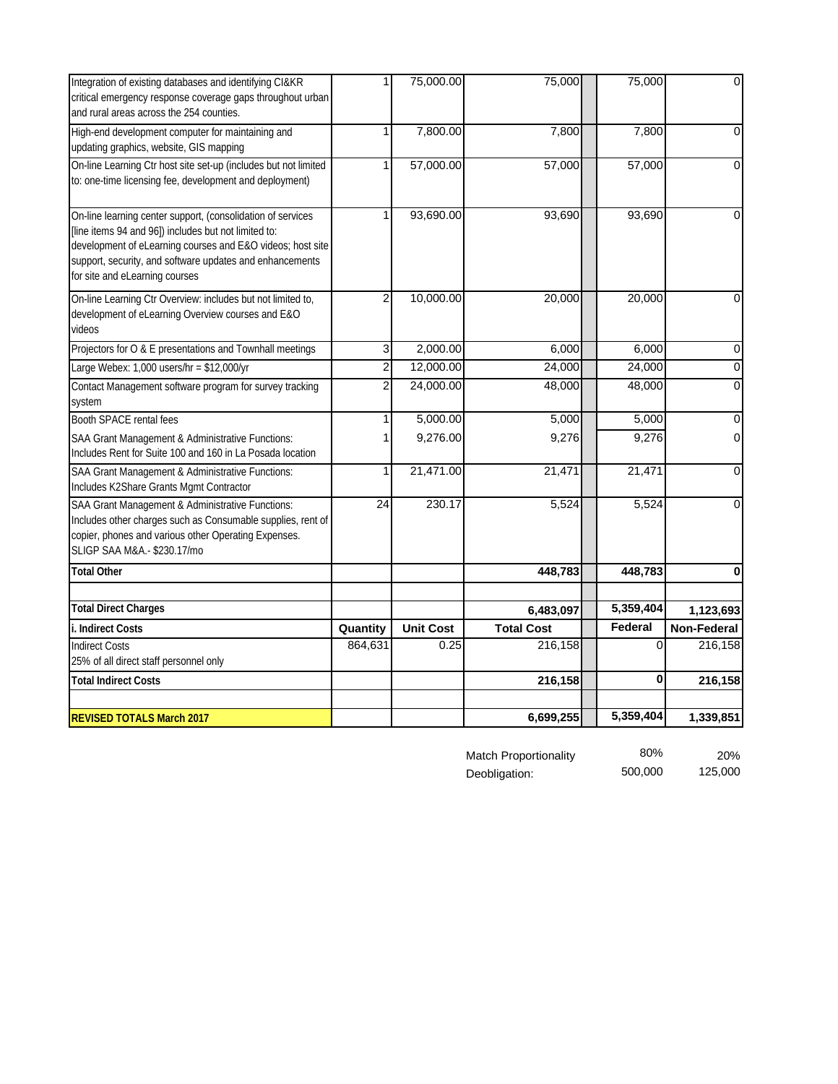| Integration of existing databases and identifying CI&KR<br>critical emergency response coverage gaps throughout urban<br>and rural areas across the 254 counties.                                                                                                               |                | 75,000.00        | 75,000            | 75,000             | $\overline{0}$     |
|---------------------------------------------------------------------------------------------------------------------------------------------------------------------------------------------------------------------------------------------------------------------------------|----------------|------------------|-------------------|--------------------|--------------------|
| High-end development computer for maintaining and<br>updating graphics, website, GIS mapping                                                                                                                                                                                    | 1              | 7,800.00         | 7,800             | 7,800              | $\overline{0}$     |
| On-line Learning Ctr host site set-up (includes but not limited<br>to: one-time licensing fee, development and deployment)                                                                                                                                                      | 1              | 57,000.00        | 57,000            | 57,000             | $\overline{0}$     |
| On-line learning center support, (consolidation of services<br>[line items 94 and 96]) includes but not limited to:<br>development of eLearning courses and E&O videos; host site<br>support, security, and software updates and enhancements<br>for site and eLearning courses |                | 93,690.00        | 93,690            | 93,690             | $\overline{0}$     |
| On-line Learning Ctr Overview: includes but not limited to,<br>development of eLearning Overview courses and E&O<br>videos                                                                                                                                                      | $\overline{2}$ | 10,000.00        | 20,000            | 20,000             | 0                  |
| Projectors for O & E presentations and Townhall meetings                                                                                                                                                                                                                        | 3              | 2,000.00         | 6,000             | 6,000              | 0                  |
| Large Webex: 1,000 users/hr = \$12,000/yr                                                                                                                                                                                                                                       | $\overline{2}$ | 12,000.00        | 24,000            | 24,000             | $\boldsymbol{0}$   |
| Contact Management software program for survey tracking<br>system                                                                                                                                                                                                               | $\overline{2}$ | 24,000.00        | 48,000            | 48,000             | 0                  |
| <b>Booth SPACE rental fees</b>                                                                                                                                                                                                                                                  |                | 5,000.00         | 5,000             | $\overline{5,000}$ | $\overline{0}$     |
| SAA Grant Management & Administrative Functions:<br>Includes Rent for Suite 100 and 160 in La Posada location                                                                                                                                                                   |                | 9,276.00         | 9,276             | 9,276              | $\overline{0}$     |
| SAA Grant Management & Administrative Functions:<br>Includes K2Share Grants Mgmt Contractor                                                                                                                                                                                     |                | 21,471.00        | 21,471            | 21,471             | 0                  |
| SAA Grant Management & Administrative Functions:<br>Includes other charges such as Consumable supplies, rent of<br>copier, phones and various other Operating Expenses.<br>SLIGP SAA M&A.- \$230.17/mo                                                                          | 24             | 230.17           | 5,524             | 5,524              | $\overline{0}$     |
| <b>Total Other</b>                                                                                                                                                                                                                                                              |                |                  | 448,783           | 448,783            | 0                  |
| <b>Total Direct Charges</b>                                                                                                                                                                                                                                                     |                |                  | 6,483,097         | 5,359,404          | 1,123,693          |
| i. Indirect Costs                                                                                                                                                                                                                                                               | Quantity       | <b>Unit Cost</b> | <b>Total Cost</b> | <b>Federal</b>     | <b>Non-Federal</b> |
| <b>Indirect Costs</b>                                                                                                                                                                                                                                                           | 864,631        | 0.25             | 216,158           | 0                  | 216,158            |
| 25% of all direct staff personnel only                                                                                                                                                                                                                                          |                |                  |                   | 0                  |                    |
| <b>Total Indirect Costs</b>                                                                                                                                                                                                                                                     |                |                  | 216,158           |                    | 216,158            |
| <b>REVISED TOTALS March 2017</b>                                                                                                                                                                                                                                                |                |                  | 6,699,255         | 5,359,404          | 1,339,851          |

| <b>Match Proportionality</b> | 80%     | <b>20%</b> |
|------------------------------|---------|------------|
| Deobligation:                | 500.000 | 125,000    |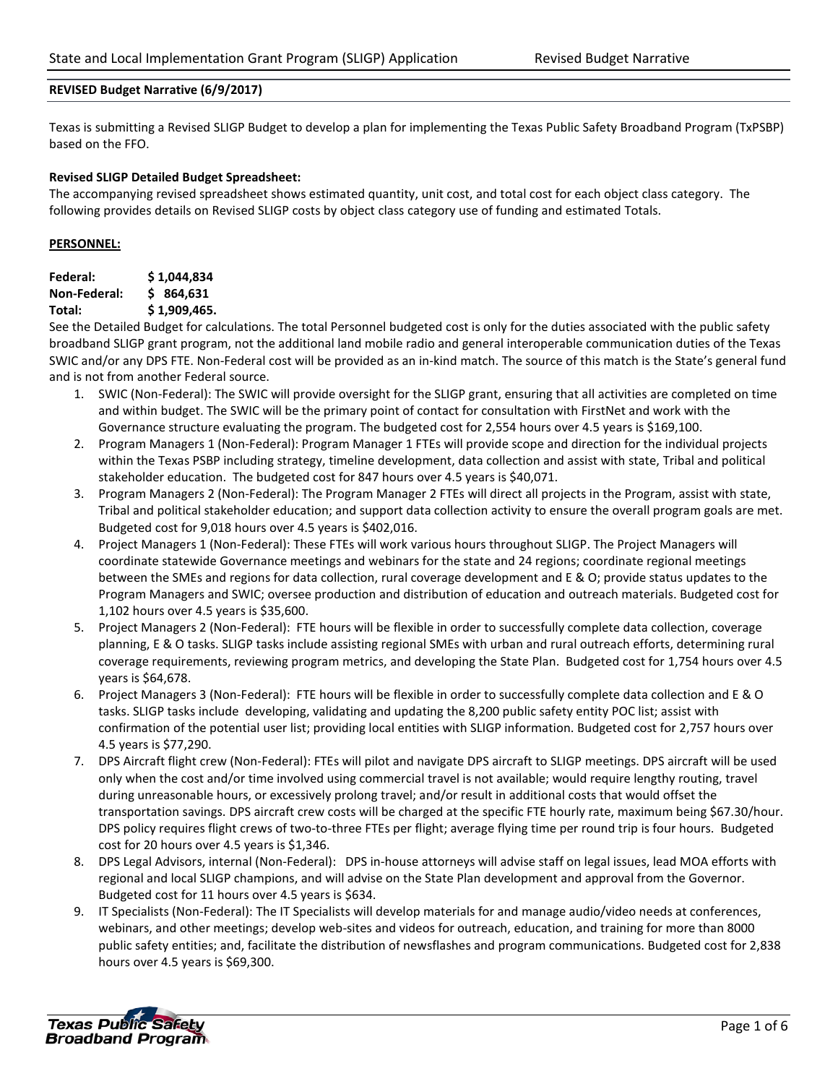#### **REVISED Budget Narrative (6/9/2017)**

Texas is submitting a Revised SLIGP Budget to develop a plan for implementing the Texas Public Safety Broadband Program (TxPSBP) based on the FFO.

### **Revised SLIGP Detailed Budget Spreadsheet:**

The accompanying revised spreadsheet shows estimated quantity, unit cost, and total cost for each object class category. The following provides details on Revised SLIGP costs by object class category use of funding and estimated Totals.

### **PERSONNEL:**

| Federal:     | \$1,044,834  |
|--------------|--------------|
| Non-Federal: | \$864.631    |
| Total:       | \$1,909,465. |

See the Detailed Budget for calculations. The total Personnel budgeted cost is only for the duties associated with the public safety broadband SLIGP grant program, not the additional land mobile radio and general interoperable communication duties of the Texas SWIC and/or any DPS FTE. Non-Federal cost will be provided as an in-kind match. The source of this match is the State's general fund and is not from another Federal source.

- 1. SWIC (Non-Federal): The SWIC will provide oversight for the SLIGP grant, ensuring that all activities are completed on time and within budget. The SWIC will be the primary point of contact for consultation with FirstNet and work with the Governance structure evaluating the program. The budgeted cost for 2,554 hours over 4.5 years is \$169,100.
- 2. Program Managers 1 (Non-Federal): Program Manager 1 FTEs will provide scope and direction for the individual projects within the Texas PSBP including strategy, timeline development, data collection and assist with state, Tribal and political stakeholder education. The budgeted cost for 847 hours over 4.5 years is \$40,071.
- 3. Program Managers 2 (Non-Federal): The Program Manager 2 FTEs will direct all projects in the Program, assist with state, Tribal and political stakeholder education; and support data collection activity to ensure the overall program goals are met. Budgeted cost for 9,018 hours over 4.5 years is \$402,016.
- 4. Project Managers 1 (Non-Federal): These FTEs will work various hours throughout SLIGP. The Project Managers will coordinate statewide Governance meetings and webinars for the state and 24 regions; coordinate regional meetings between the SMEs and regions for data collection, rural coverage development and E & O; provide status updates to the Program Managers and SWIC; oversee production and distribution of education and outreach materials. Budgeted cost for 1,102 hours over 4.5 years is \$35,600.
- 5. Project Managers 2 (Non-Federal): FTE hours will be flexible in order to successfully complete data collection, coverage planning, E & O tasks. SLIGP tasks include assisting regional SMEs with urban and rural outreach efforts, determining rural coverage requirements, reviewing program metrics, and developing the State Plan. Budgeted cost for 1,754 hours over 4.5 years is \$64,678.
- 6. Project Managers 3 (Non-Federal): FTE hours will be flexible in order to successfully complete data collection and E & O tasks. SLIGP tasks include developing, validating and updating the 8,200 public safety entity POC list; assist with confirmation of the potential user list; providing local entities with SLIGP information. Budgeted cost for 2,757 hours over 4.5 years is \$77,290.
- 7. DPS Aircraft flight crew (Non-Federal): FTEs will pilot and navigate DPS aircraft to SLIGP meetings. DPS aircraft will be used only when the cost and/or time involved using commercial travel is not available; would require lengthy routing, travel during unreasonable hours, or excessively prolong travel; and/or result in additional costs that would offset the transportation savings. DPS aircraft crew costs will be charged at the specific FTE hourly rate, maximum being \$67.30/hour. DPS policy requires flight crews of two-to-three FTEs per flight; average flying time per round trip is four hours. Budgeted cost for 20 hours over 4.5 years is \$1,346.
- 8. DPS Legal Advisors, internal (Non-Federal): DPS in-house attorneys will advise staff on legal issues, lead MOA efforts with regional and local SLIGP champions, and will advise on the State Plan development and approval from the Governor. Budgeted cost for 11 hours over 4.5 years is \$634.
- 9. IT Specialists (Non-Federal): The IT Specialists will develop materials for and manage audio/video needs at conferences, webinars, and other meetings; develop web-sites and videos for outreach, education, and training for more than 8000 public safety entities; and, facilitate the distribution of newsflashes and program communications. Budgeted cost for 2,838 hours over 4.5 years is \$69,300.

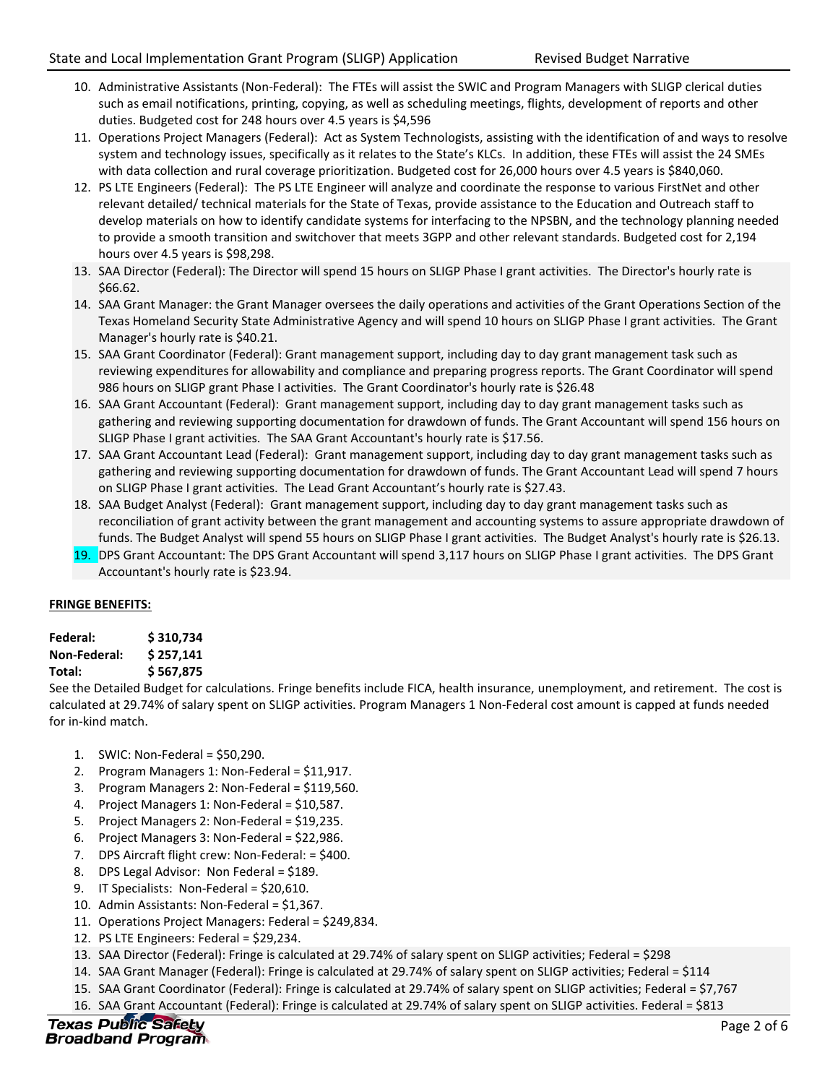- 10. Administrative Assistants (Non-Federal): The FTEs will assist the SWIC and Program Managers with SLIGP clerical duties such as email notifications, printing, copying, as well as scheduling meetings, flights, development of reports and other duties. Budgeted cost for 248 hours over 4.5 years is \$4,596
- 11. Operations Project Managers (Federal): Act as System Technologists, assisting with the identification of and ways to resolve system and technology issues, specifically as it relates to the State's KLCs. In addition, these FTEs will assist the 24 SMEs with data collection and rural coverage prioritization. Budgeted cost for 26,000 hours over 4.5 years is \$840,060.
- 12. PS LTE Engineers (Federal): The PS LTE Engineer will analyze and coordinate the response to various FirstNet and other relevant detailed/ technical materials for the State of Texas, provide assistance to the Education and Outreach staff to develop materials on how to identify candidate systems for interfacing to the NPSBN, and the technology planning needed to provide a smooth transition and switchover that meets 3GPP and other relevant standards. Budgeted cost for 2,194 hours over 4.5 years is \$98,298.
- 13. SAA Director (Federal): The Director will spend 15 hours on SLIGP Phase I grant activities. The Director's hourly rate is \$66.62.
- 14. SAA Grant Manager: the Grant Manager oversees the daily operations and activities of the Grant Operations Section of the Texas Homeland Security State Administrative Agency and will spend 10 hours on SLIGP Phase I grant activities. The Grant Manager's hourly rate is \$40.21.
- 15. SAA Grant Coordinator (Federal): Grant management support, including day to day grant management task such as reviewing expenditures for allowability and compliance and preparing progress reports. The Grant Coordinator will spend 986 hours on SLIGP grant Phase I activities. The Grant Coordinator's hourly rate is \$26.48
- 16. SAA Grant Accountant (Federal): Grant management support, including day to day grant management tasks such as gathering and reviewing supporting documentation for drawdown of funds. The Grant Accountant will spend 156 hours on SLIGP Phase I grant activities. The SAA Grant Accountant's hourly rate is \$17.56.
- 17. SAA Grant Accountant Lead (Federal): Grant management support, including day to day grant management tasks such as gathering and reviewing supporting documentation for drawdown of funds. The Grant Accountant Lead will spend 7 hours on SLIGP Phase I grant activities. The Lead Grant Accountant's hourly rate is \$27.43.
- 18. SAA Budget Analyst (Federal): Grant management support, including day to day grant management tasks such as reconciliation of grant activity between the grant management and accounting systems to assure appropriate drawdown of funds. The Budget Analyst will spend 55 hours on SLIGP Phase I grant activities. The Budget Analyst's hourly rate is \$26.13.
- 19. DPS Grant Accountant: The DPS Grant Accountant will spend 3,117 hours on SLIGP Phase I grant activities. The DPS Grant Accountant's hourly rate is \$23.94. fur<br>fur<br>**19.** DP<br>Ac

# **FRINGE BENEFITS:**

| Federal:            | \$310,734 |
|---------------------|-----------|
| <b>Non-Federal:</b> | \$257,141 |
| Total:              | \$567,875 |

See the Detailed Budget for calculations. Fringe benefits include FICA, health insurance, unemployment, and retirement. The cost is calculated at 29.74% of salary spent on SLIGP activities. Program Managers 1 Non-Federal cost amount is capped at funds needed for in-kind match.

- 1. SWIC: Non-Federal = \$50,290.
- 2. Program Managers 1: Non-Federal = \$11,917.
- 3. Program Managers 2: Non-Federal = \$119,560.
- 4. Project Managers 1: Non-Federal = \$10,587.
- 5. Project Managers 2: Non-Federal = \$19,235.
- 6. Project Managers 3: Non-Federal = \$22,986.
- 7. DPS Aircraft flight crew: Non-Federal: = \$400.
- 8. DPS Legal Advisor: Non Federal = \$189.
- 9. IT Specialists: Non-Federal = \$20,610.
- 10. Admin Assistants: Non-Federal = \$1,367.
- 11. Operations Project Managers: Federal = \$249,834.
- 12. PS LTE Engineers: Federal = \$29,234.
- 13. SAA Director (Federal): Fringe is calculated at 29.74% of salary spent on SLIGP activities; Federal = \$298
- 14. SAA Grant Manager (Federal): Fringe is calculated at 29.74% of salary spent on SLIGP activities; Federal = \$114
- 15. SAA Grant Coordinator (Federal): Fringe is calculated at 29.74% of salary spent on SLIGP activities; Federal = \$7,767
- 16. SAA Grant Accountant (Federal): Fringe is calculated at 29.74% of salary spent on SLIGP activities. Federal = \$813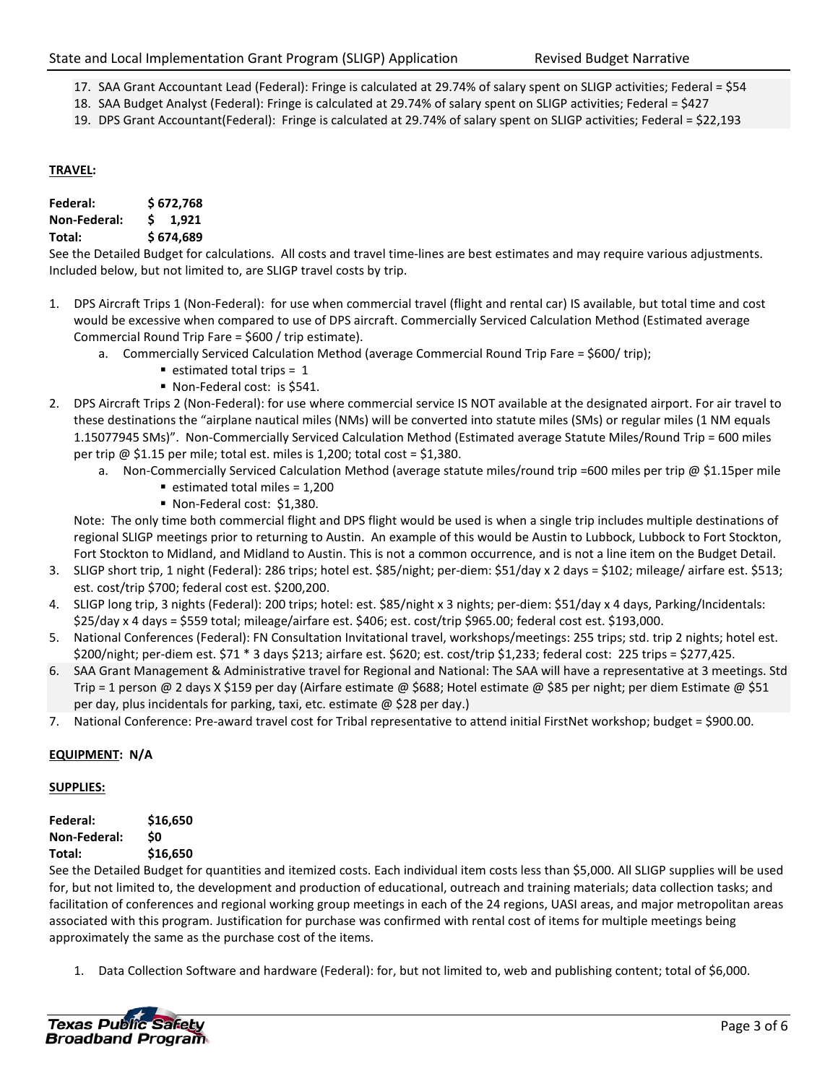- 17. SAA Grant Accountant Lead (Federal): Fringe is calculated at 29.74% of salary spent on SLIGP activities; Federal = \$54
- 18. SAA Budget Analyst (Federal): Fringe is calculated at 29.74% of salary spent on SLIGP activities; Federal = \$427
- 19. DPS Grant Accountant(Federal): Fringe is calculated at 29.74% of salary spent on SLIGP activities; Federal = \$22,193

## **TRAVEL:**

| Federal:            | \$672,768       |  |  |  |  |  |
|---------------------|-----------------|--|--|--|--|--|
| <b>Non-Federal:</b> | $5 \quad 1,921$ |  |  |  |  |  |
| Total:              | \$674,689       |  |  |  |  |  |

See the Detailed Budget for calculations. All costs and travel time-lines are best estimates and may require various adjustments. Included below, but not limited to, are SLIGP travel costs by trip.

- 1. DPS Aircraft Trips 1 (Non-Federal): for use when commercial travel (flight and rental car) IS available, but total time and cost would be excessive when compared to use of DPS aircraft. Commercially Serviced Calculation Method (Estimated average Commercial Round Trip Fare = \$600 / trip estimate).
	- a. Commercially Serviced Calculation Method (average Commercial Round Trip Fare = \$600/ trip);
		- $\blacksquare$  estimated total trips = 1
		- Non-Federal cost: is \$541.
- 2. DPS Aircraft Trips 2 (Non-Federal): for use where commercial service IS NOT available at the designated airport. For air travel to these destinations the "airplane nautical miles (NMs) will be converted into statute miles (SMs) or regular miles (1 NM equals 1.15077945 SMs)". Non-Commercially Serviced Calculation Method (Estimated average Statute Miles/Round Trip = 600 miles per trip  $\omega$  \$1.15 per mile; total est. miles is 1,200; total cost = \$1,380.
	- a. Non-Commercially Serviced Calculation Method (average statute miles/round trip =600 miles per trip @ \$1.15per mile
		- $\blacksquare$  estimated total miles = 1,200
		- Non-Federal cost: \$1,380.

Note: The only time both commercial flight and DPS flight would be used is when a single trip includes multiple destinations of regional SLIGP meetings prior to returning to Austin. An example of this would be Austin to Lubbock, Lubbock to Fort Stockton, Fort Stockton to Midland, and Midland to Austin. This is not a common occurrence, and is not a line item on the Budget Detail.

- 3. SLIGP short trip, 1 night (Federal): 286 trips; hotel est. \$85/night; per-diem: \$51/day x 2 days = \$102; mileage/ airfare est. \$513; est. cost/trip \$700; federal cost est. \$200,200.
- 4. SLIGP long trip, 3 nights (Federal): 200 trips; hotel: est. \$85/night x 3 nights; per-diem: \$51/day x 4 days, Parking/Incidentals: \$25/day x 4 days = \$559 total; mileage/airfare est. \$406; est. cost/trip \$965.00; federal cost est. \$193,000.
- 5. National Conferences (Federal): FN Consultation Invitational travel, workshops/meetings: 255 trips; std. trip 2 nights; hotel est. \$200/night; per-diem est. \$71 \* 3 days \$213; airfare est. \$620; est. cost/trip \$1,233; federal cost: 225 trips = \$277,425.
- 6. SAA Grant Management & Administrative travel for Regional and National: The SAA will have a representative at 3 meetings. Std Trip = 1 person @ 2 days X \$159 per day (Airfare estimate @ \$688; Hotel estimate @ \$85 per night; per diem Estimate @ \$51 per day, plus incidentals for parking, taxi, etc. estimate @ \$28 per day.)
- 7. National Conference: Pre-award travel cost for Tribal representative to attend initial FirstNet workshop; budget = \$900.00.

## **EQUIPMENT: N/A**

#### **SUPPLIES:**

| Federal:            | \$16,650 |
|---------------------|----------|
| <b>Non-Federal:</b> | \$0      |
| Total:              | \$16,650 |

See the Detailed Budget for quantities and itemized costs. Each individual item costs less than \$5,000. All SLIGP supplies will be used for, but not limited to, the development and production of educational, outreach and training materials; data collection tasks; and facilitation of conferences and regional working group meetings in each of the 24 regions, UASI areas, and major metropolitan areas associated with this program. Justification for purchase was confirmed with rental cost of items for multiple meetings being approximately the same as the purchase cost of the items.

1. Data Collection Software and hardware (Federal): for, but not limited to, web and publishing content; total of \$6,000.

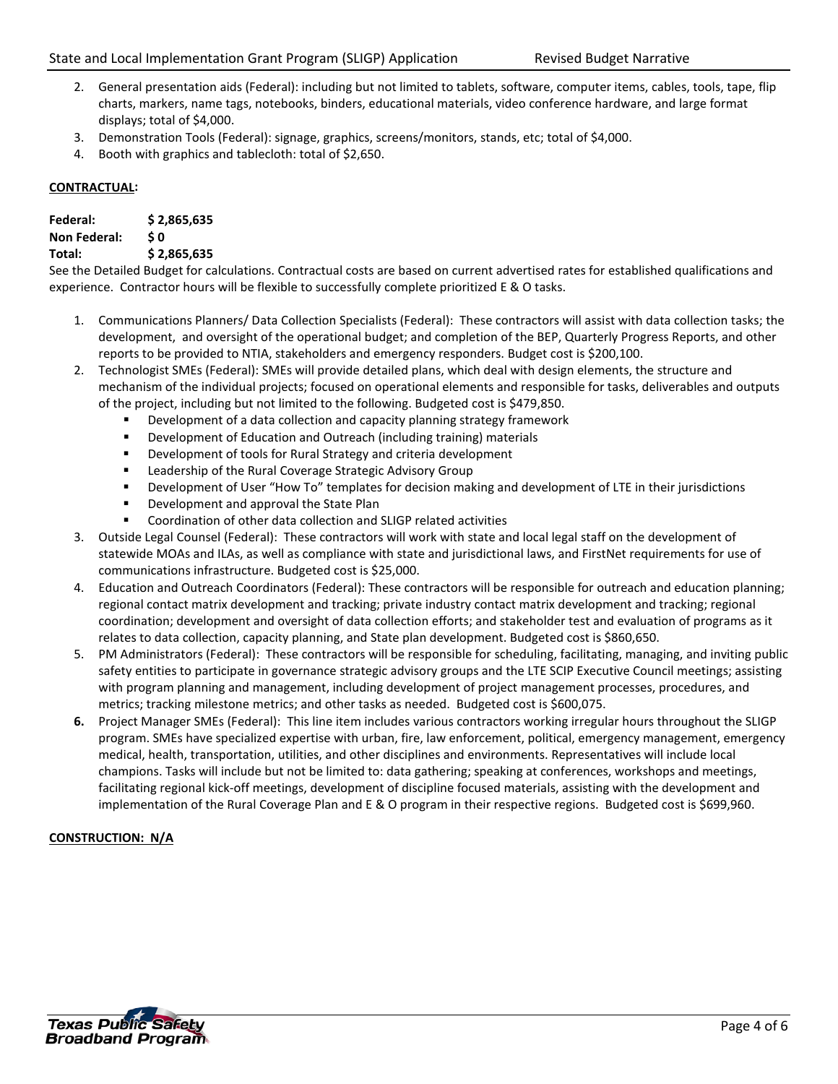- 2. General presentation aids (Federal): including but not limited to tablets, software, computer items, cables, tools, tape, flip charts, markers, name tags, notebooks, binders, educational materials, video conference hardware, and large format displays; total of \$4,000.
- 3. Demonstration Tools (Federal): signage, graphics, screens/monitors, stands, etc; total of \$4,000.
- 4. Booth with graphics and tablecloth: total of \$2,650.

## **CONTRACTUAL:**

| Federal:            | \$2,865,635 |
|---------------------|-------------|
| <b>Non Federal:</b> | \$0         |
| Total:              | \$2,865,635 |

See the Detailed Budget for calculations. Contractual costs are based on current advertised rates for established qualifications and experience. Contractor hours will be flexible to successfully complete prioritized E & O tasks.

- 1. Communications Planners/ Data Collection Specialists (Federal): These contractors will assist with data collection tasks; the development, and oversight of the operational budget; and completion of the BEP, Quarterly Progress Reports, and other reports to be provided to NTIA, stakeholders and emergency responders. Budget cost is \$200,100.
- 2. Technologist SMEs (Federal): SMEs will provide detailed plans, which deal with design elements, the structure and mechanism of the individual projects; focused on operational elements and responsible for tasks, deliverables and outputs of the project, including but not limited to the following. Budgeted cost is \$479,850.
	- Development of a data collection and capacity planning strategy framework
	- **EXECT** Development of Education and Outreach (including training) materials
	- Development of tools for Rural Strategy and criteria development
	- **EXEC** Leadership of the Rural Coverage Strategic Advisory Group
	- Development of User "How To" templates for decision making and development of LTE in their jurisdictions
	- **Development and approval the State Plan**
	- Coordination of other data collection and SLIGP related activities
- 3. Outside Legal Counsel (Federal): These contractors will work with state and local legal staff on the development of statewide MOAs and ILAs, as well as compliance with state and jurisdictional laws, and FirstNet requirements for use of communications infrastructure. Budgeted cost is \$25,000.
- 4. Education and Outreach Coordinators (Federal): These contractors will be responsible for outreach and education planning; regional contact matrix development and tracking; private industry contact matrix development and tracking; regional coordination; development and oversight of data collection efforts; and stakeholder test and evaluation of programs as it relates to data collection, capacity planning, and State plan development. Budgeted cost is \$860,650.
- 5. PM Administrators (Federal): These contractors will be responsible for scheduling, facilitating, managing, and inviting public safety entities to participate in governance strategic advisory groups and the LTE SCIP Executive Council meetings; assisting with program planning and management, including development of project management processes, procedures, and metrics; tracking milestone metrics; and other tasks as needed. Budgeted cost is \$600,075.
- **6.** Project Manager SMEs (Federal): This line item includes various contractors working irregular hours throughout the SLIGP program. SMEs have specialized expertise with urban, fire, law enforcement, political, emergency management, emergency medical, health, transportation, utilities, and other disciplines and environments. Representatives will include local champions. Tasks will include but not be limited to: data gathering; speaking at conferences, workshops and meetings, facilitating regional kick-off meetings, development of discipline focused materials, assisting with the development and implementation of the Rural Coverage Plan and E & O program in their respective regions. Budgeted cost is \$699,960.

# **CONSTRUCTION: N/A**

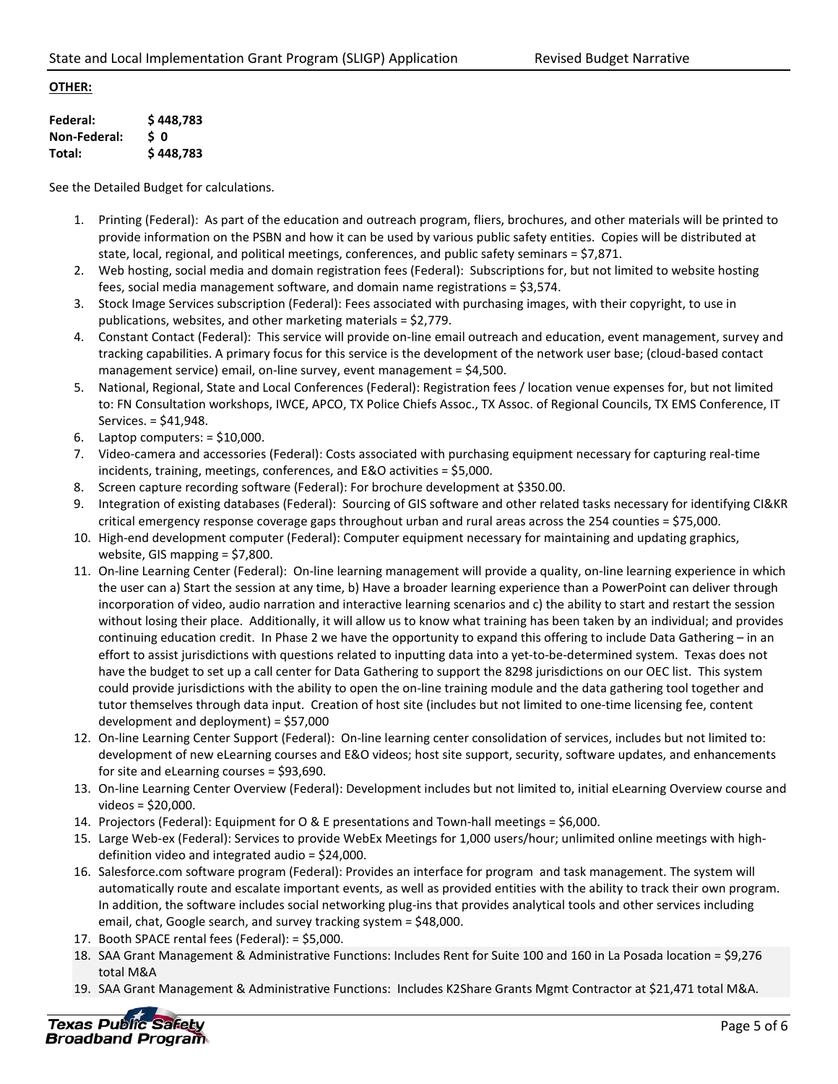## **OTHER:**

| Federal:     | \$448,783 |
|--------------|-----------|
| Non-Federal: | \$O       |
| Total:       | \$448,783 |

See the Detailed Budget for calculations.

- 1. Printing (Federal): As part of the education and outreach program, fliers, brochures, and other materials will be printed to provide information on the PSBN and how it can be used by various public safety entities. Copies will be distributed at state, local, regional, and political meetings, conferences, and public safety seminars =  $$7,871$ .
- 2. Web hosting, social media and domain registration fees (Federal): Subscriptions for, but not limited to website hosting fees, social media management software, and domain name registrations = \$3,574.
- 3. Stock Image Services subscription (Federal): Fees associated with purchasing images, with their copyright, to use in publications, websites, and other marketing materials = \$2,779.
- 4. Constant Contact (Federal): This service will provide on-line email outreach and education, event management, survey and tracking capabilities. A primary focus for this service is the development of the network user base; (cloud-based contact management service) email, on-line survey, event management = \$4,500.
- 5. National, Regional, State and Local Conferences (Federal): Registration fees / location venue expenses for, but not limited to: FN Consultation workshops, IWCE, APCO, TX Police Chiefs Assoc., TX Assoc. of Regional Councils, TX EMS Conference, IT Services. = \$41,948.
- 6. Laptop computers:  $=$  \$10,000.
- 7. Video-camera and accessories (Federal): Costs associated with purchasing equipment necessary for capturing real-time incidents, training, meetings, conferences, and E&O activities = \$5,000.
- 8. Screen capture recording software (Federal): For brochure development at \$350.00.
- 9. Integration of existing databases (Federal): Sourcing of GIS software and other related tasks necessary for identifying CI&KR critical emergency response coverage gaps throughout urban and rural areas across the 254 counties = \$75,000.
- 10. High-end development computer (Federal): Computer equipment necessary for maintaining and updating graphics, website, GIS mapping = \$7,800.
- 11. On-line Learning Center (Federal): On-line learning management will provide a quality, on-line learning experience in which the user can a) Start the session at any time, b) Have a broader learning experience than a PowerPoint can deliver through incorporation of video, audio narration and interactive learning scenarios and c) the ability to start and restart the session without losing their place. Additionally, it will allow us to know what training has been taken by an individual; and provides continuing education credit. In Phase 2 we have the opportunity to expand this offering to include Data Gathering – in an effort to assist jurisdictions with questions related to inputting data into a yet-to-be-determined system. Texas does not have the budget to set up a call center for Data Gathering to support the 8298 jurisdictions on our OEC list. This system could provide jurisdictions with the ability to open the on-line training module and the data gathering tool together and tutor themselves through data input. Creation of host site (includes but not limited to one-time licensing fee, content development and deployment) = \$57,000
- 12. On-line Learning Center Support (Federal): On-line learning center consolidation of services, includes but not limited to: development of new eLearning courses and E&O videos; host site support, security, software updates, and enhancements for site and eLearning courses = \$93,690.
- 13. On-line Learning Center Overview (Federal): Development includes but not limited to, initial eLearning Overview course and videos = \$20,000.
- 14. Projectors (Federal): Equipment for O & E presentations and Town-hall meetings = \$6,000.
- 15. Large Web-ex (Federal): Services to provide WebEx Meetings for 1,000 users/hour; unlimited online meetings with highdefinition video and integrated audio = \$24,000.
- 16. Salesforce.com software program (Federal): Provides an interface for [program](http://en.wikipedia.org/wiki/Case_management) and [task management.](http://en.wikipedia.org/wiki/Task_management) The system will automatically route and escalate important events, as well as provided entities with the ability to track their own program. In addition, the software includes social networking [plug-ins](http://en.wikipedia.org/wiki/Plug-in_(computing)) that provides analytical tools and other services including email, chat, Google search, and survey tracking system = \$48,000.
- 17. Booth SPACE rental fees (Federal): = \$5,000.
- 18. SAA Grant Management & Administrative Functions: Includes Rent for Suite 100 and 160 in La Posada location = \$9,276 total M&A
- 19. SAA Grant Management & Administrative Functions: Includes K2Share Grants Mgmt Contractor at \$21,471 total M&A.